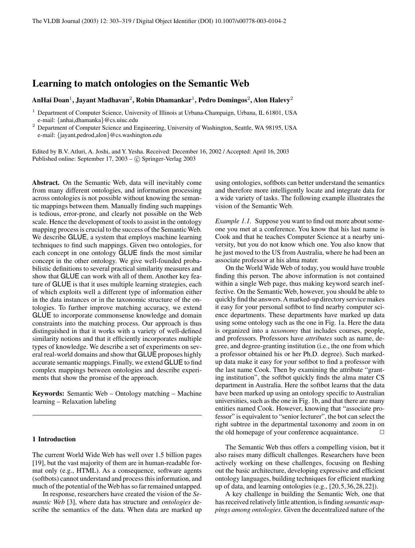# **Learning to match ontologies on the Semantic Web**

**AnHai Doan**<sup>1</sup>**, Jayant Madhavan**<sup>2</sup>**, Robin Dhamankar**<sup>1</sup>**, Pedro Domingos**<sup>2</sup>**, Alon Halevy**<sup>2</sup>

- <sup>1</sup> Department of Computer Science, University of Illinois at Urbana-Champaign, Urbana, IL 61801, USA
- e-mail: {anhai,dhamanka}@cs.uiuc.edu 2 Department of Computer Science and Engineering, University of Washington, Seattle, WA 98195, USA e-mail: {jayant,pedrod,alon}@cs.washington.edu

Edited by B.V. Atluri, A. Joshi, and Y. Yesha. Received: December 16, 2002 / Accepted: April 16, 2003 Published online: September 17, 2003 – © Springer-Verlag 2003

**Abstract.** On the Semantic Web, data will inevitably come from many different ontologies, and information processing across ontologies is not possible without knowing the semantic mappings between them. Manually finding such mappings is tedious, error-prone, and clearly not possible on the Web scale. Hence the development of tools to assist in the ontology mapping process is crucial to the success of the Semantic Web. We describe GLUE, a system that employs machine learning techniques to find such mappings. Given two ontologies, for each concept in one ontology GLUE finds the most similar concept in the other ontology. We give well-founded probabilistic definitions to several practical similarity measures and show that GLUE can work with all of them. Another key feature of GLUE is that it uses multiple learning strategies, each of which exploits well a different type of information either in the data instances or in the taxonomic structure of the ontologies. To further improve matching accuracy, we extend GLUE to incorporate commonsense knowledge and domain constraints into the matching process. Our approach is thus distinguished in that it works with a variety of well-defined similarity notions and that it efficiently incorporates multiple types of knowledge. We describe a set of experiments on several real-world domains and show that GLUE proposes highly accurate semantic mappings. Finally, we extend GLUE to find complex mappings between ontologies and describe experiments that show the promise of the approach.

**Keywords:** Semantic Web – Ontology matching – Machine learning – Relaxation labeling

## **1 Introduction**

The current World Wide Web has well over 1.5 billion pages [19], but the vast majority of them are in human-readable format only (e.g., HTML). As a consequence, software agents (softbots) cannot understand and process this information, and much of the potential of the Web has so far remained untapped.

In response, researchers have created the vision of the *Semantic Web* [3], where data has structure and *ontologies* describe the semantics of the data. When data are marked up using ontologies, softbots can better understand the semantics and therefore more intelligently locate and integrate data for a wide variety of tasks. The following example illustrates the vision of the Semantic Web.

*Example 1.1.* Suppose you want to find out more about someone you met at a conference. You know that his last name is Cook and that he teaches Computer Science at a nearby university, but you do not know which one. You also know that he just moved to the US from Australia, where he had been an associate professor at his alma mater.

On the World Wide Web of today, you would have trouble finding this person. The above information is not contained within a single Web page, thus making keyword search ineffective. On the Semantic Web, however, you should be able to quickly find the answers.A marked-up directory service makes it easy for your personal softbot to find nearby computer science departments. These departments have marked up data using some ontology such as the one in Fig. 1a. Here the data is organized into a *taxonomy* that includes courses, people, and professors. Professors have *attributes* such as name, degree, and degree-granting institution (i.e., the one from which a professor obtained his or her Ph.D. degree). Such markedup data make it easy for your softbot to find a professor with the last name Cook. Then by examining the attribute "granting institution", the softbot quickly finds the alma mater CS department in Australia. Here the softbot learns that the data have been marked up using an ontology specific to Australian universities, such as the one in Fig. 1b, and that there are many entities named Cook. However, knowing that "associate professor" is equivalent to "senior lecturer", the bot can select the right subtree in the departmental taxonomy and zoom in on the old homepage of your conference acquaintance.  $\Box$ 

The Semantic Web thus offers a compelling vision, but it also raises many difficult challenges. Researchers have been actively working on these challenges, focusing on fleshing out the basic architecture, developing expressive and efficient ontology languages, building techniques for efficient marking up of data, and learning ontologies (e.g., [20,5,36,28,22]).

A key challenge in building the Semantic Web, one that has received relatively little attention, is finding *semantic mappings among ontologies*. Given the decentralized nature of the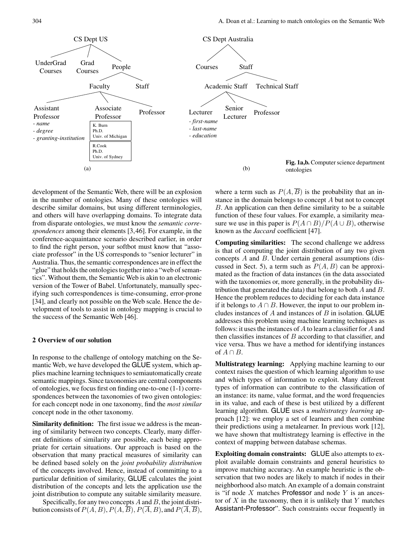

development of the Semantic Web, there will be an explosion in the number of ontologies. Many of these ontologies will describe similar domains, but using different terminologies, and others will have overlapping domains. To integrate data from disparate ontologies, we must know the *semantic correspondences* among their elements [3,46]. For example, in the conference-acquaintance scenario described earlier, in order to find the right person, your softbot must know that "associate professor" in the US corresponds to "senior lecturer" in Australia. Thus, the semantic correspondences are in effect the "glue" that holds the ontologies together into a "web of semantics". Without them, the Semantic Web is akin to an electronic version of the Tower of Babel. Unfortunately, manually specifying such correspondences is time-consuming, error-prone [34], and clearly not possible on the Web scale. Hence the development of tools to assist in ontology mapping is crucial to the success of the Semantic Web [46].

## **2 Overview of our solution**

In response to the challenge of ontology matching on the Semantic Web, we have developed the GLUE system, which applies machine learning techniques to semiautomatically create semantic mappings. Since taxonomies are central components of ontologies, we focus first on finding one-to-one (1-1) correspondences between the taxonomies of two given ontologies: for each concept node in one taxonomy, find the *most similar* concept node in the other taxonomy.

**Similarity definition:** The first issue we address is the meaning of similarity between two concepts. Clearly, many different definitions of similarity are possible, each being appropriate for certain situations. Our approach is based on the observation that many practical measures of similarity can be defined based solely on the *joint probability distribution* of the concepts involved. Hence, instead of committing to a particular definition of similarity, GLUE calculates the joint distribution of the concepts and lets the application use the joint distribution to compute any suitable similarity measure.

Specifically, for any two concepts  $A$  and  $B$ , the joint distribution consists of  $P(A, B), P(A, \overline{B}), P(\overline{A}, B)$ , and  $P(\overline{A}, \overline{B})$ , where a term such as  $P(A, \overline{B})$  is the probability that an instance in the domain belongs to concept A but not to concept B. An application can then define similarity to be a suitable function of these four values. For example, a similarity measure we use in this paper is  $P(A \cap B)/P(A \cup B)$ , otherwise known as the *Jaccard* coefficient [47].

**Computing similarities:** The second challenge we address is that of computing the joint distribution of any two given concepts A and B. Under certain general assumptions (discussed in Sect. 5), a term such as  $P(A, B)$  can be approximated as the fraction of data instances (in the data associated with the taxonomies or, more generally, in the probability distribution that generated the data) that belong to both  $A$  and  $B$ . Hence the problem reduces to deciding for each data instance if it belongs to  $A \cap B$ . However, the input to our problem includes instances of  $A$  and instances of  $B$  in isolation. GLUE addresses this problem using machine learning techniques as follows: it uses the instances of  $A$  to learn a classifier for  $A$  and then classifies instances of  $B$  according to that classifier, and vice versa. Thus we have a method for identifying instances of  $A \cap B$ .

**Multistrategy learning:** Applying machine learning to our context raises the question of which learning algorithm to use and which types of information to exploit. Many different types of information can contribute to the classification of an instance: its name, value format, and the word frequencies in its value, and each of these is best utilized by a different learning algorithm. GLUE uses a *multistrategy learning* approach [12]: we employ a set of learners and then combine their predictions using a metalearner. In previous work [12], we have shown that multistrategy learning is effective in the context of mapping between database schemas.

**Exploiting domain constraints:** GLUE also attempts to exploit available domain constraints and general heuristics to improve matching accuracy. An example heuristic is the observation that two nodes are likely to match if nodes in their neighborhood also match. An example of a domain constraint is "if node  $X$  matches Professor and node  $Y$  is an ancestor of  $X$  in the taxonomy, then it is unlikely that  $Y$  matches Assistant-Professor". Such constraints occur frequently in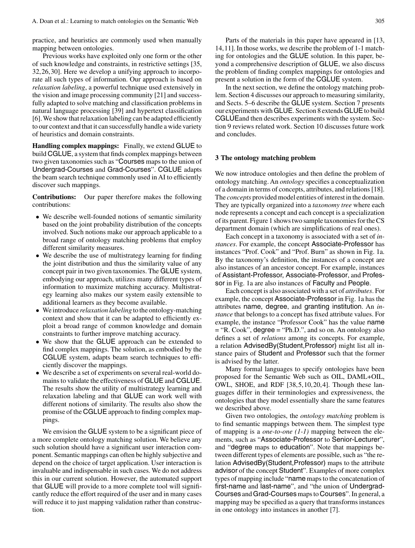practice, and heuristics are commonly used when manually mapping between ontologies.

Previous works have exploited only one form or the other of such knowledge and constraints, in restrictive settings [35, 32,26,30]. Here we develop a unifying approach to incorporate all such types of information. Our approach is based on *relaxation labeling*, a powerful technique used extensively in the vision and image processing community [21] and successfully adapted to solve matching and classification problems in natural language processing [39] and hypertext classification [6]. We show that relaxation labeling can be adapted efficiently to our context and that it can successfully handle a wide variety of heuristics and domain constraints.

**Handling complex mappings:** Finally, we extend GLUE to build CGLUE, a system that finds complex mappings between two given taxonomies such as "Courses maps to the union of Undergrad-Courses and Grad-Courses". CGLUE adapts the beam search technique commonly used in AI to efficiently discover such mappings.

**Contributions:** Our paper therefore makes the following contributions:

- We describe well-founded notions of semantic similarity based on the joint probability distribution of the concepts involved. Such notions make our approach applicable to a broad range of ontology matching problems that employ different similarity measures.
- We describe the use of multistrategy learning for finding the joint distribution and thus the similarity value of any concept pair in two given taxonomies. The GLUE system, embodying our approach, utilizes many different types of information to maximize matching accuracy. Multistrategy learning also makes our system easily extensible to additional learners as they become available.
- We introduce *relaxation labeling* to the ontology-matching context and show that it can be adapted to efficiently exploit a broad range of common knowledge and domain constraints to further improve matching accuracy.
- We show that the GLUE approach can be extended to find complex mappings. The solution, as embodied by the CGLUE system, adapts beam search techniques to efficiently discover the mappings.
- We describe a set of experiments on several real-world domains to validate the effectiveness of GLUE and CGLUE. The results show the utility of multistrategy learning and relaxation labeling and that GLUE can work well with different notions of similarity. The results also show the promise of the CGLUE approach to finding complex mappings.

We envision the GLUE system to be a significant piece of a more complete ontology matching solution. We believe any such solution should have a significant user interaction component. Semantic mappings can often be highly subjective and depend on the choice of target application. User interaction is invaluable and indispensable in such cases. We do not address this in our current solution. However, the automated support that GLUE will provide to a more complete tool will significantly reduce the effort required of the user and in many cases will reduce it to just mapping validation rather than construction.

Parts of the materials in this paper have appeared in [13, 14,11]. In those works, we describe the problem of 1-1 matching for ontologies and the GLUE solution. In this paper, beyond a comprehensive description of GLUE, we also discuss the problem of finding complex mappings for ontologies and present a solution in the form of the CGLUE system.

In the next section, we define the ontology matching problem. Section 4 discusses our approach to measuring similarity, and Sects. 5–6 describe the GLUE system. Section 7 presents our experiments with GLUE. Section 8 extends GLUE to build CGLUEand then describes experiments with the system. Section 9 reviews related work. Section 10 discusses future work and concludes.

# **3 The ontology matching problem**

We now introduce ontologies and then define the problem of ontology matching. An *ontology* specifies a conceptualization of a domain in terms of concepts, attributes, and relations [18]. The *concepts* provided model entities of interest in the domain. They are typically organized into a *taxonomy tree* where each node represents a concept and each concept is a specialization of its parent. Figure 1 shows two sample taxonomies for the CS department domain (which are simplifications of real ones).

Each concept in a taxonomy is associated with a set of *instances*. For example, the concept Associate-Professor has instances "Prof. Cook" and "Prof. Burn" as shown in Fig. 1a. By the taxonomy's definition, the instances of a concept are also instances of an ancestor concept. For example, instances of Assistant-Professor, Associate-Professor, and Professor in Fig. 1a are also instances of Faculty and People.

Each concept is also associated with a set of *attributes*. For example, the concept Associate-Professor in Fig. 1a has the attributes name, degree, and granting institution. An *instance* that belongs to a concept has fixed attribute values. For example, the instance "Professor Cook" has the value name = "R. Cook", degree = "Ph.D.", and so on. An ontology also defines a set of *relations* among its concepts. For example, a relation AdvisedBy(Student,Professor) might list all instance pairs of Student and Professor such that the former is advised by the latter.

Many formal languages to specify ontologies have been proposed for the Semantic Web such as OIL, DAML+OIL, OWL, SHOE, and RDF [38,5,10,20,4]. Though these languages differ in their terminologies and expressiveness, the ontologies that they model essentially share the same features we described above.

Given two ontologies, the *ontology matching* problem is to find semantic mappings between them. The simplest type of mapping is a *one-to-one (1-1)* mapping between the elements, such as "Associate-Professor to Senior-Lecturer", and "degree maps to education". Note that mappings between different types of elements are possible, such as "the relation AdvisedBy(Student,Professor) maps to the attribute advisor of the concept Student". Examples of more complex types of mapping include "name maps to the concatenation of first-name and last-name", and "the union of Undergrad-Courses andGrad-Coursesmaps to Courses". In general, a mapping may be specified as a query that transforms instances in one ontology into instances in another [7].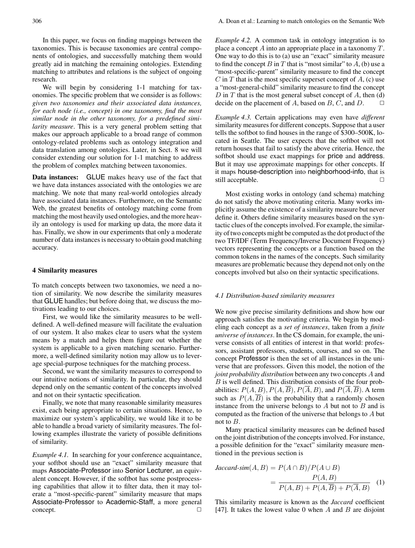In this paper, we focus on finding mappings between the taxonomies. This is because taxonomies are central components of ontologies, and successfully matching them would greatly aid in matching the remaining ontologies. Extending matching to attributes and relations is the subject of ongoing research.

We will begin by considering 1-1 matching for taxonomies. The specific problem that we consider is as follows: *given two taxonomies and their associated data instances, for each node (i.e., concept) in one taxonomy, find the most similar node in the other taxonomy, for a predefined similarity measure*. This is a very general problem setting that makes our approach applicable to a broad range of common ontology-related problems such as ontology integration and data translation among ontologies. Later, in Sect. 8 we will consider extending our solution for 1-1 matching to address the problem of complex matching between taxonomies.

**Data instances:** GLUE makes heavy use of the fact that we have data instances associated with the ontologies we are matching. We note that many real-world ontologies already have associated data instances. Furthermore, on the Semantic Web, the greatest benefits of ontology matching come from matching the most heavily used ontologies, and the more heavily an ontology is used for marking up data, the more data it has. Finally, we show in our experiments that only a moderate number of data instances is necessary to obtain good matching accuracy.

#### **4 Similarity measures**

To match concepts between two taxonomies, we need a notion of similarity. We now describe the similarity measures that GLUE handles; but before doing that, we discuss the motivations leading to our choices.

First, we would like the similarity measures to be welldefined. A well-defined measure will facilitate the evaluation of our system. It also makes clear to users what the system means by a match and helps them figure out whether the system is applicable to a given matching scenario. Furthermore, a well-defined similarity notion may allow us to leverage special-purpose techniques for the matching process.

Second, we want the similarity measures to correspond to our intuitive notions of similarity. In particular, they should depend only on the semantic content of the concepts involved and not on their syntactic specification.

Finally, we note that many reasonable similarity measures exist, each being appropriate to certain situations. Hence, to maximize our system's applicability, we would like it to be able to handle a broad variety of similarity measures. The following examples illustrate the variety of possible definitions of similarity.

*Example 4.1.* In searching for your conference acquaintance, your softbot should use an "exact" similarity measure that maps Associate-Professor into Senior Lecturer, an equivalent concept. However, if the softbot has some postprocessing capabilities that allow it to filter data, then it may tolerate a "most-specific-parent" similarity measure that maps Associate-Professor to Academic-Staff, a more general concept. *Example 4.2.* A common task in ontology integration is to place a concept  $A$  into an appropriate place in a taxonomy  $T$ . One way to do this is to (a) use an "exact" similarity measure to find the concept B in T that is "most similar" to A, (b) use a "most-specific-parent" similarity measure to find the concept C in T that is the most specific superset concept of  $A$ , (c) use a "most-general-child" similarity measure to find the concept D in  $T$  that is the most general subset concept of  $A$ , then (d) decide on the placement of A, based on B, C, and D.  $\Box$ 

*Example 4.3.* Certain applications may even have *different* similarity measures for different concepts. Suppose that a user tells the softbot to find houses in the range of \$300–500K, located in Seattle. The user expects that the softbot will not return houses that fail to satisfy the above criteria. Hence, the softbot should use exact mappings for price and address. But it may use approximate mappings for other concepts. If it maps house-description into neighborhood-info, that is still acceptable.

Most existing works in ontology (and schema) matching do not satisfy the above motivating criteria. Many works implicitly assume the existence of a similarity measure but never define it. Others define similarity measures based on the syntactic clues of the concepts involved. For example, the similarity of two concepts might be computed as the dot product of the two TF/IDF (Term Frequency/Inverse Document Frequency) vectors representing the concepts or a function based on the common tokens in the names of the concepts. Such similarity measures are problematic because they depend not only on the concepts involved but also on their syntactic specifications.

#### *4.1 Distribution-based similarity measures*

We now give precise similarity definitions and show how our approach satisfies the motivating criteria. We begin by modeling each concept as a *set of instances*, taken from a *finite universe of instances*. In the CS domain, for example, the universe consists of all entities of interest in that world: professors, assistant professors, students, courses, and so on. The concept Professor is then the set of all instances in the universe that are professors. Given this model, the notion of the *joint probability distribution* between any two concepts A and  $B$  is well defined. This distribution consists of the four probabilities:  $P(A, B), P(A, \overline{B}), P(\overline{A}, B)$ , and  $P(\overline{A}, \overline{B})$ . A term such as  $P(A, \overline{B})$  is the probability that a randomly chosen instance from the universe belongs to  $A$  but not to  $B$  and is computed as the fraction of the universe that belongs to A but not to B.

Many practical similarity measures can be defined based on the joint distribution of the concepts involved. For instance, a possible definition for the "exact" similarity measure mentioned in the previous section is

Jaccard-sim(A, B) = 
$$
P(A \cap B)/P(A \cup B)
$$
  
= 
$$
\frac{P(A, B)}{P(A, B) + P(A, \overline{B}) + P(\overline{A}, B)}
$$
(1)

This similarity measure is known as the *Jaccard* coefficient [47]. It takes the lowest value 0 when  $A$  and  $B$  are disjoint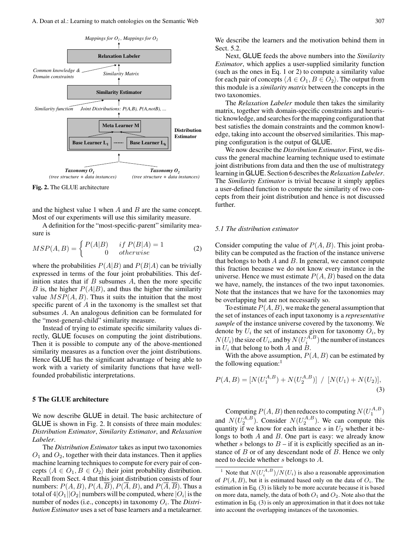

**Fig. 2.** The GLUE architecture

and the highest value 1 when A and B are the same concept. Most of our experiments will use this similarity measure.

A definition for the "most-specific-parent" similarity measure is

$$
MSP(A,B) = \begin{cases} P(A|B) & if P(B|A) = 1 \\ 0 & otherwise \end{cases}
$$
 (2)

where the probabilities  $P(A|B)$  and  $P(B|A)$  can be trivially expressed in terms of the four joint probabilities. This definition states that if  $B$  subsumes  $A$ , then the more specific B is, the higher  $P(A|B)$ , and thus the higher the similarity value  $MSP(A, B)$ . Thus it suits the intuition that the most specific parent of  $A$  in the taxonomy is the smallest set that subsumes A. An analogous definition can be formulated for the "most-general-child" similarity measure.

Instead of trying to estimate specific similarity values directly, GLUE focuses on computing the joint distributions. Then it is possible to compute any of the above-mentioned similarity measures as a function over the joint distributions. Hence GLUE has the significant advantage of being able to work with a variety of similarity functions that have wellfounded probabilistic interpretations.

#### **5 The GLUE architecture**

We now describe GLUE in detail. The basic architecture of GLUE is shown in Fig. 2. It consists of three main modules: *Distribution Estimator*, *Similarity Estimator*, and *Relaxation Labeler*.

The *Distribution Estimator* takes as input two taxonomies  $O_1$  and  $O_2$ , together with their data instances. Then it applies machine learning techniques to compute for every pair of concepts  $\langle A \in O_1, B \in O_2 \rangle$  their joint probability distribution. Recall from Sect. 4 that this joint distribution consists of four numbers:  $P(A, B), P(A, \overline{B}), P(\overline{A}, B)$ , and  $P(\overline{A}, \overline{B})$ . Thus a total of  $4|O_1||O_2|$  numbers will be computed, where  $|O_i|$  is the number of nodes (i.e., concepts) in taxonomy  $O_i$ . The *Distribution Estimator* uses a set of base learners and a metalearner. We describe the learners and the motivation behind them in Sect. 5.2.

Next, GLUE feeds the above numbers into the *Similarity Estimator*, which applies a user-supplied similarity function (such as the ones in Eq. 1 or 2) to compute a similarity value for each pair of concepts  $\langle A \in O_1, B \in O_2 \rangle$ . The output from this module is a *similarity matrix* between the concepts in the two taxonomies.

The *Relaxation Labeler* module then takes the similarity matrix, together with domain-specific constraints and heuristic knowledge, and searches for the mapping configuration that best satisfies the domain constraints and the common knowledge, taking into account the observed similarities. This mapping configuration is the output of GLUE.

We now describe the *Distribution Estimator*. First, we discuss the general machine learning technique used to estimate joint distributions from data and then the use of multistrategy learning inGLUE. Section 6 describes the *Relaxation Labeler*. The *Similarity Estimator* is trivial because it simply applies a user-defined function to compute the similarity of two concepts from their joint distribution and hence is not discussed further.

## *5.1 The distribution estimator*

Consider computing the value of  $P(A, B)$ . This joint probability can be computed as the fraction of the instance universe that belongs to both  $A$  and  $B$ . In general, we cannot compute this fraction because we do not know every instance in the universe. Hence we must estimate  $P(A, B)$  based on the data we have, namely, the instances of the two input taxonomies. Note that the instances that we have for the taxonomies may be overlapping but are not necessarily so.

To estimate  $P(A, B)$ , we make the general assumption that the set of instances of each input taxonomy is a *representative sample* of the instance universe covered by the taxonomy. We denote by  $U_i$  the set of instances given for taxonomy  $O_i$ , by  $N(U_i)$  the size of  $U_i$ , and by  $N(U_i^{A,B})$  the number of instances in  $U_i$  that belong to both A and  $\ddot{B}$ .

With the above assumption,  $P(A, B)$  can be estimated by the following equation: $<sup>1</sup>$ </sup>

$$
P(A, B) = [N(U_1^{A,B}) + N(U_2^{A,B})] / [N(U_1) + N(U_2)],
$$
\n(3)

Computing  $P(A, B)$  then reduces to computing  $N(U_1^{A,B})$ and  $N(U_2^{A,B})$ . Consider  $N(U_2^{A,B})$ . We can compute this quantity if we know for each instance s in  $U_2$  whether it belongs to both  $A$  and  $B$ . One part is easy: we already know whether s belongs to  $B$  – if it is explicitly specified as an instance of  $B$  or of any descendant node of  $B$ . Hence we only need to decide whether s belongs to A.

<sup>&</sup>lt;sup>1</sup> Note that  $N(U_i^{A,B})/N(U_i)$  is also a reasonable approximation  $P(A, B)$  but it is estimated based only on the data of  $\Omega$ . The of  $P(A, B)$ , but it is estimated based only on the data of  $O_i$ . The estimation in Eq. (3) is likely to be more accurate because it is based on more data, namely, the data of both  $O_1$  and  $O_2$ . Note also that the estimation in Eq. (3) is only an approximation in that it does not take into account the overlapping instances of the taxonomies.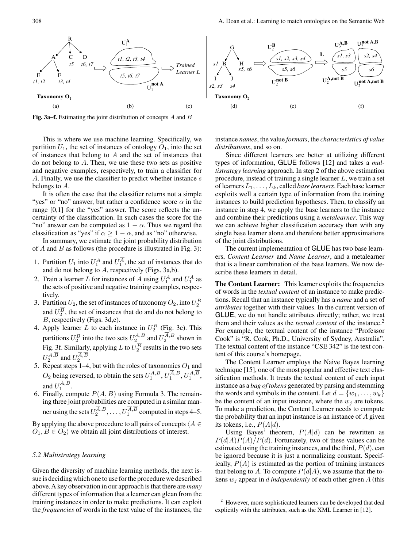

**Fig. 3a–f.** Estimating the joint distribution of concepts A and B

This is where we use machine learning. Specifically, we partition  $U_1$ , the set of instances of ontology  $O_1$ , into the set of instances that belong to A and the set of instances that do not belong to A. Then, we use these two sets as positive and negative examples, respectively, to train a classifier for A. Finally, we use the classifier to predict whether instance s belongs to A.

It is often the case that the classifier returns not a simple "yes" or "no" answer, but rather a confidence score  $\alpha$  in the range [0,1] for the "yes" answer. The score reflects the uncertainty of the classification. In such cases the score for the "no" answer can be computed as  $1 - \alpha$ . Thus we regard the classification as "yes" if  $\alpha \geq 1 - \alpha$ , and as "no" otherwise.

In summary, we estimate the joint probability distribution of  $A$  and  $B$  as follows (the procedure is illustrated in Fig. 3):

- 1. Partition  $U_1$  into  $U_1^A$  and  $U_1^{\overline{A}}$ , the set of instances that do and do not belong to A, respectively (Figs. 3a,b).
- 2. Train a learner L for instances of A using  $U_1^A$  and  $U_1^{\overline{A}}$  as the sets of positive and negative training examples, respectively.
- 3. Partition  $U_2$ , the set of instances of taxonomy  $O_2$ , into  $U_2^B$ and  $U_2^{\overline{B}}$ , the set of instances that do and do not belong to B, respectively (Figs. 3d,e).
- 4. Apply learner L to each instance in  $U_2^B$  (Fig. 3e). This partitions  $U_2^B$  into the two sets  $U_2^{A,B}$  and  $U_2^{A,B}$  shown in Fig. 3f. Similarly, applying  $L$  to  $U_2^{\overline{B}}$  results in the two sets  $U_2^{A,B}$  and  $U_2^{A,B}$ .
- 5. Repeat steps 1–4, but with the roles of taxonomies  $O_1$  and  $O_2$  being reversed, to obtain the sets  $U_1^{A,B}, U_1^{A,B}, U_1^{A,B}$ , and  $U_1^{A,B}$ .
- 6. Finally, compute  $P(A, B)$  using Formula 3. The remaining three joint probabilities are computed in a similar manner using the sets  $U_2^{A,B}, \ldots, U_1^{A,B}$  computed in steps 4–5.

By applying the above procedure to all pairs of concepts  $\langle A \in$  $O_1, B \in O_2$  we obtain all joint distributions of interest.

# *5.2 Multistrategy learning*

Given the diversity of machine learning methods, the next issue is deciding which one to use for the procedure we described above.A key observation in our approach is that there are *many* different types of information that a learner can glean from the training instances in order to make predictions. It can exploit the *frequencies* of words in the text value of the instances, the



instance *names*, the value *formats*, the *characteristics of value distributions*, and so on.

Since different learners are better at utilizing different types of information, GLUE follows [12] and takes a *multistrategy learning* approach. In step 2 of the above estimation procedure, instead of training a single learner L, we train a set of learnersL1,...,Lk, called *base learners*. Each base learner exploits well a certain type of information from the training instances to build prediction hypotheses. Then, to classify an instance in step 4, we apply the base learners to the instance and combine their predictions using a *metalearner*. This way we can achieve higher classification accuracy than with any single base learner alone and therefore better approximations of the joint distributions.

The current implementation of GLUE has two base learners, *Content Learner* and *Name Learner*, and a metalearner that is a linear combination of the base learners. We now describe these learners in detail.

**The Content Learner:** This learner exploits the frequencies of words in the *textual content* of an instance to make predictions. Recall that an instance typically has a *name* and a set of *attributes* together with their values. In the current version of GLUE, we do not handle attributes directly; rather, we treat them and their values as the *textual content* of the instance.<sup>2</sup> For example, the textual content of the instance "Professor Cook" is "R. Cook, Ph.D., University of Sydney, Australia". The textual content of the instance "CSE 342" is the text content of this course's homepage.

The Content Learner employs the Naive Bayes learning technique [15], one of the most popular and effective text classification methods. It treats the textual content of each input instance as a *bag of tokens* generated by parsing and stemming the words and symbols in the content. Let  $d = \{w_1, \ldots, w_k\}$ be the content of an input instance, where the  $w_i$  are tokens. To make a prediction, the Content Learner needs to compute the probability that an input instance is an instance of  $A$  given its tokens, i.e.,  $P(A|d)$ .

Using Bayes' theorem,  $P(A|d)$  can be rewritten as  $P(d|A)P(A)/P(d)$ . Fortunately, two of these values can be estimated using the training instances, and the third,  $P(d)$ , can be ignored because it is just a normalizing constant. Specifically,  $P(A)$  is estimated as the portion of training instances that belong to A. To compute  $P(d|A)$ , we assume that the tokens  $w_i$  appear in *d independently* of each other given  $A$  (this

<sup>2</sup> However, more sophisticated learners can be developed that deal explicitly with the attributes, such as the XML Learner in [12].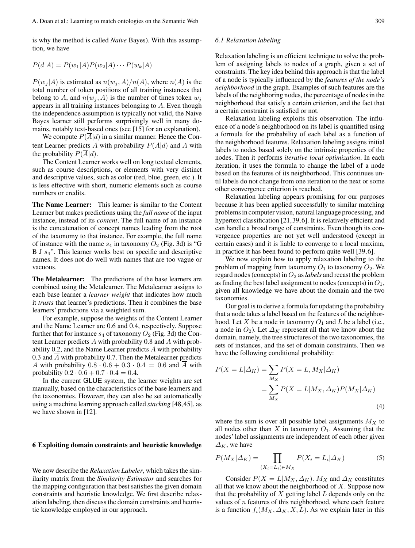is why the method is called *Naive* Bayes). With this assumption, we have

$$
P(d|A) = P(w_1|A)P(w_2|A)\cdots P(w_k|A)
$$

 $P(w_j | A)$  is estimated as  $n(w_j, A)/n(A)$ , where  $n(A)$  is the total number of token positions of all training instances that belong to A, and  $n(w_i, A)$  is the number of times token  $w_i$ appears in all training instances belonging to A. Even though the independence assumption is typically not valid, the Naive Bayes learner still performs surprisingly well in many domains, notably text-based ones (see [15] for an explanation).

We compute  $P(\overline{A}|d)$  in a similar manner. Hence the Content Learner predicts A with probability  $P(A|d)$  and  $\overline{A}$  with the probability  $P(A|d)$ .

The Content Learner works well on long textual elements, such as course descriptions, or elements with very distinct and descriptive values, such as color (red, blue, green, etc.). It is less effective with short, numeric elements such as course numbers or credits.

**The Name Learner:** This learner is similar to the Content Learner but makes predictions using the *full name* of the input instance, instead of its *content*. The full name of an instance is the concatenation of concept names leading from the root of the taxonomy to that instance. For example, the full name of instance with the name  $s_4$  in taxonomy  $O_2$  (Fig. 3d) is "G B J  $s_4$ ". This learner works best on specific and descriptive names. It does not do well with names that are too vague or vacuous.

**The Metalearner:** The predictions of the base learners are combined using the Metalearner. The Metalearner assigns to each base learner a *learner weight* that indicates how much it *trusts* that learner's predictions. Then it combines the base learners' predictions via a weighted sum.

For example, suppose the weights of the Content Learner and the Name Learner are 0.6 and 0.4, respectively. Suppose further that for instance  $s_4$  of taxonomy  $O_2$  (Fig. 3d) the Content Learner predicts A with probability 0.8 and A with probability 0.2, and the Name Learner predicts A with probability 0.3 and  $\overline{A}$  with probability 0.7. Then the Metalearner predicts A with probability  $0.8 \cdot 0.6+0.3 \cdot 0.4=0.6$  and  $\overline{A}$  with probability  $0.2 \cdot 0.6 + 0.7 \cdot 0.4 = 0.4$ .

In the current GLUE system, the learner weights are set manually, based on the characteristics of the base learners and the taxonomies. However, they can also be set automatically using a machine learning approach called *stacking* [48,45], as we have shown in [12].

### **6 Exploiting domain constraints and heuristic knowledge**

We now describe the *Relaxation Labeler*, which takes the similarity matrix from the *Similarity Estimator* and searches for the mapping configuration that best satisfies the given domain constraints and heuristic knowledge. We first describe relaxation labeling, then discuss the domain constraints and heuristic knowledge employed in our approach.

### *6.1 Relaxation labeling*

Relaxation labeling is an efficient technique to solve the problem of assigning labels to nodes of a graph, given a set of constraints. The key idea behind this approach is that the label of a node is typically influenced by the *features of the node's neighborhood* in the graph. Examples of such features are the labels of the neighboring nodes, the percentage of nodes in the neighborhood that satisfy a certain criterion, and the fact that a certain constraint is satisfied or not.

Relaxation labeling exploits this observation. The influence of a node's neighborhood on its label is quantified using a formula for the probability of each label as a function of the neighborhood features. Relaxation labeling assigns initial labels to nodes based solely on the intrinsic properties of the nodes. Then it performs *iterative local optimization*. In each iteration, it uses the formula to change the label of a node based on the features of its neighborhood. This continues until labels do not change from one iteration to the next or some other convergence criterion is reached.

Relaxation labeling appears promising for our purposes because it has been applied successfully to similar matching problems in computer vision, natural language processing, and hypertext classification [21,39,6]. It is relatively efficient and can handle a broad range of constraints. Even though its convergence properties are not yet well understood (except in certain cases) and it is liable to converge to a local maxima, in practice it has been found to perform quite well [39,6].

We now explain how to apply relaxation labeling to the problem of mapping from taxonomy  $O_1$  to taxonomy  $O_2$ . We regard nodes (concepts) in  $O_2$  as *labels* and recast the problem as finding the best label assignment to nodes (concepts) in  $O_1$ , given all knowledge we have about the domain and the two taxonomies.

Our goal is to derive a formula for updating the probability that a node takes a label based on the features of the neighborhood. Let X be a node in taxonomy  $O_1$  and L be a label (i.e., a node in  $O_2$ ). Let  $\Delta_K$  represent all that we know about the domain, namely, the tree structures of the two taxonomies, the sets of instances, and the set of domain constraints. Then we have the following conditional probability:

$$
P(X = L | \Delta_K) = \sum_{M_X} P(X = L, M_X | \Delta_K)
$$
  
= 
$$
\sum_{M_X} P(X = L | M_X, \Delta_K) P(M_X | \Delta_K)
$$
 (4)

where the sum is over all possible label assignments  $M_X$  to all nodes other than X in taxonomy  $O_1$ . Assuming that the nodes' label assignments are independent of each other given  $\Delta_K$ , we have

$$
P(M_X|\Delta_K) = \prod_{(X_i = L_i) \in M_X} P(X_i = L_i|\Delta_K)
$$
 (5)

Consider  $P(X = L|M_X, \Delta_K)$ .  $M_X$  and  $\Delta_K$  constitutes all that we know about the neighborhood of  $X$ . Suppose now that the probability of  $X$  getting label  $L$  depends only on the values of  $n$  features of this neighborhood, where each feature is a function  $f_i(M_X, \Delta_K, X, L)$ . As we explain later in this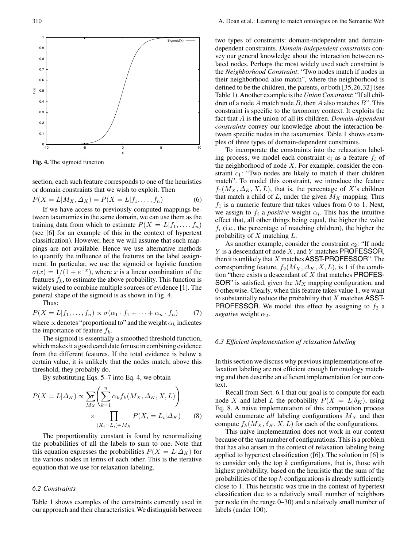

**Fig. 4.** The sigmoid function

section, each such feature corresponds to one of the heuristics or domain constraints that we wish to exploit. Then

$$
P(X = L|M_X, \Delta_K) = P(X = L|f_1, \dots, f_n)
$$
 (6)

If we have access to previously computed mappings between taxonomies in the same domain, we can use them as the training data from which to estimate  $P(X = L | f_1, \ldots, f_n)$ (see [6] for an example of this in the context of hypertext classification). However, here we will assume that such mappings are not available. Hence we use alternative methods to quantify the influence of the features on the label assignment. In particular, we use the sigmoid or logistic function  $\sigma(x)=1/(1 + e^{-x})$ , where x is a linear combination of the features  $f_k$ , to estimate the above probability. This function is widely used to combine multiple sources of evidence [1]. The general shape of the sigmoid is as shown in Fig. 4.

Thus:

$$
P(X = L | f_1, \dots, f_n) \propto \sigma(\alpha_1 \cdot f_1 + \dots + \alpha_n \cdot f_n)
$$
 (7)

where  $\propto$  denotes "proportional to" and the weight  $\alpha_k$  indicates the importance of feature  $f_k$ .

The sigmoid is essentially a smoothed threshold function, which makes it a good candidate for use in combining evidence from the different features. If the total evidence is below a certain value, it is unlikely that the nodes match; above this threshold, they probably do.

By substituting Eqs. 5–7 into Eq. 4, we obtain

$$
P(X = L | \Delta_K) \propto \sum_{M_X} \left( \sum_{k=1}^n \alpha_k f_k(M_X, \Delta_K, X, L) \right) \times \prod_{(X_i = L_i) \in M_X} P(X_i = L_i | \Delta_K)
$$
 (8)

The proportionality constant is found by renormalizing the probabilities of all the labels to sum to one. Note that this equation expresses the probabilities  $P(X = L|\Delta_K)$  for the various nodes in terms of each other. This is the iterative equation that we use for relaxation labeling.

#### *6.2 Constraints*

Table 1 shows examples of the constraints currently used in our approach and their characteristics. We distinguish between two types of constraints: domain-independent and domaindependent constraints. *Domain-independent constraints* convey our general knowledge about the interaction between related nodes. Perhaps the most widely used such constraint is the *Neighborhood Constraint*: "Two nodes match if nodes in their neighborhood also match", where the neighborhood is defined to be the children, the parents, or both [35,26,32] (see Table 1).Another example is the *Union Constraint*: "If all children of a node  $A$  match node  $B$ , then  $A$  also matches  $B$ ". This constraint is specific to the taxonomy context. It exploits the fact that A is the union of all its children. *Domain-dependent constraints* convey our knowledge about the interaction between specific nodes in the taxonomies. Table 1 shows examples of three types of domain-dependent constraints.

To incorporate the constraints into the relaxation labeling process, we model each constraint  $c_i$  as a feature  $f_i$  of the neighborhood of node  $X$ . For example, consider the constraint  $c_1$ : "Two nodes are likely to match if their children match". To model this constraint, we introduce the feature  $f_1(M_X, \Delta_K, X, L)$ , that is, the percentage of X's children that match a child of  $L$ , under the given  $M_X$  mapping. Thus  $f_1$  is a numeric feature that takes values from 0 to 1. Next, we assign to  $f_i$  a *positive* weight  $\alpha_i$ . This has the intuitive effect that, all other things being equal, the higher the value  $f_i$  (i.e., the percentage of matching children), the higher the probability of  $X$  matching  $L$ .

As another example, consider the constraint  $c_2$ : "If node  $Y$  is a descendant of node  $X$ , and  $Y$  matches PROFESSOR, then it is unlikely that  $X$  matches ASST-PROFESSOR". The corresponding feature,  $f_2(M_X, \Delta_K, X, L)$ , is 1 if the condition "there exists a descendant of  $X$  that matches PROFES-SOR" is satisfied, given the  $M_X$  mapping configuration, and 0 otherwise. Clearly, when this feature takes value 1, we want to substantially reduce the probability that X matches ASST-**PROFESSOR.** We model this effect by assigning to  $f_2$  a *negative* weight  $\alpha_2$ .

#### *6.3 Efficient implementation of relaxation labeling*

In this section we discuss why previous implementations of relaxation labeling are not efficient enough for ontology matching and then describe an efficient implementation for our context.

Recall from Sect. 6.1 that our goal is to compute for each node X and label L the probability  $P(X = L | \delta_K)$ , using Eq. 8. A naive implementation of this computation process would enumerate *all* labeling configurations  $M_X$  and then compute  $f_k(M_X, \delta_K, X, L)$  for each of the configurations.

This naive implementation does not work in our context because of the vast number of configurations. This is a problem that has also arisen in the context of relaxation labeling being applied to hypertext classification ([6]). The solution in [6] is to consider only the top  $k$  configurations, that is, those with highest probability, based on the heuristic that the sum of the probabilities of the top  $k$  configurations is already sufficiently close to 1. This heuristic was true in the context of hypertext classification due to a relatively small number of neighbors per node (in the range 0–30) and a relatively small number of labels (under 100).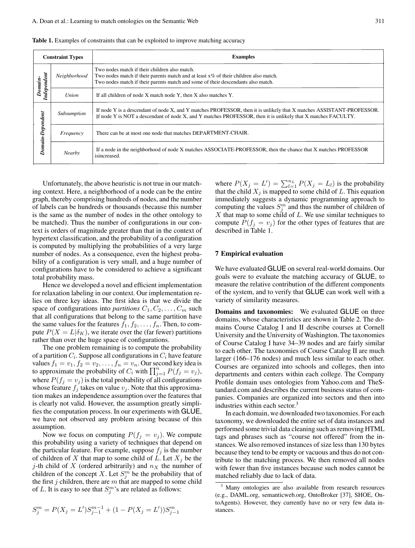|  |  |  | <b>Table 1.</b> Examples of constraints that can be exploited to improve matching accuracy |
|--|--|--|--------------------------------------------------------------------------------------------|
|  |  |  |                                                                                            |

| <b>Constraint Types</b> |                                                                                                                                                                                                                                              | <b>Examples</b>                                                                                                                                                                                                                        |  |  |  |  |  |
|-------------------------|----------------------------------------------------------------------------------------------------------------------------------------------------------------------------------------------------------------------------------------------|----------------------------------------------------------------------------------------------------------------------------------------------------------------------------------------------------------------------------------------|--|--|--|--|--|
| Independent<br>Domain-  | Two nodes match if their children also match.<br>Two nodes match if their parents match and at least $x\%$ of their children also match.<br>Neighborhood<br>Two nodes match if their parents match and some of their descendants also match. |                                                                                                                                                                                                                                        |  |  |  |  |  |
|                         | If all children of node X match node Y, then X also matches Y.                                                                                                                                                                               |                                                                                                                                                                                                                                        |  |  |  |  |  |
|                         | Subsumption                                                                                                                                                                                                                                  | If node Y is a descendant of node X, and Y matches PROFESSOR, then it is unlikely that X matches ASSISTANT-PROFESSOR.<br>If node Y is NOT a descendant of node X, and Y matches PROFESSOR, then it is unlikely that X matches FACULTY. |  |  |  |  |  |
| Domain-Dependent        | Frequency                                                                                                                                                                                                                                    | There can be at most one node that matches DEPARTMENT-CHAIR.                                                                                                                                                                           |  |  |  |  |  |
|                         | <b>Nearby</b>                                                                                                                                                                                                                                | If a node in the neighborhood of node X matches ASSOCIATE-PROFESSOR, then the chance that X matches PROFESSOR<br>isincreased.                                                                                                          |  |  |  |  |  |

Unfortunately, the above heuristic is not true in our matching context. Here, a neighborhood of a node can be the entire graph, thereby comprising hundreds of nodes, and the number of labels can be hundreds or thousands (because this number is the same as the number of nodes in the other ontology to be matched). Thus the number of configurations in our context is orders of magnitude greater than that in the context of hypertext classification, and the probability of a configuration is computed by multiplying the probabilities of a very large number of nodes. As a consequence, even the highest proba-

bility of a configuration is very small, and a huge number of configurations have to be considered to achieve a significant total probability mass.

Hence we developed a novel and efficient implementation for relaxation labeling in our context. Our implementation relies on three key ideas. The first idea is that we divide the space of configurations into *partitions*  $C_1, C_2, \ldots, C_m$  such that all configurations that belong to the same partition have the same values for the features  $f_1, f_2, \ldots, f_n$ . Then, to compute  $P(X = L | \delta_K)$ , we iterate over the (far fewer) partitions rather than over the huge space of configurations.

The one problem remaining is to compute the probability of a partition  $C_i$ . Suppose all configurations in  $C_i$  have feature values  $f_1 = v_1, f_2 = v_2, \dots, f_n = v_n$ . Our second key idea is to approximate the probability of  $C_i$  with  $\prod_{j=1}^n P(f_j = v_j)$ , where  $P(f_i = v_i)$  is the total probability of all configurations whose feature  $f_i$  takes on value  $v_i$ . Note that this approximation makes an independence assumption over the features that is clearly not valid. However, the assumption greatly simplifies the computation process. In our experiments with GLUE, we have not observed any problem arising because of this assumption.

Now we focus on computing  $P(f_j = v_j)$ . We compute this probability using a variety of techniques that depend on the particular feature. For example, suppose  $f_j$  is the number of children of X that map to some child of L. Let  $X_i$  be the j-th child of X (ordered arbitrarily) and  $n<sub>X</sub>$  the number of children of the concept X. Let  $S_j^m$  be the probability that of the first  $j$  children, there are  $m$  that are mapped to some child of L. It is easy to see that  $S_j^m$ 's are related as follows:

$$
S_j^m = P(X_j = L')S_{j-1}^{m-1} + (1 - P(X_j = L'))S_{j-1}^m
$$

where  $P(X_j = L') = \sum_{l=1}^{n_L} P(X_j = L_l)$  is the probability that the child  $X_j$  is mapped to some child of L. This equation immediately suggests a dynamic programming approach to computing the values  $S_j^m$  and thus the number of children of  $X$  that map to some child of  $L$ . We use similar techniques to compute  $P(f_j = v_j)$  for the other types of features that are described in Table 1.

# **7 Empirical evaluation**

We have evaluated GLUE on several real-world domains. Our goals were to evaluate the matching accuracy of GLUE, to measure the relative contribution of the different components of the system, and to verify that GLUE can work well with a variety of similarity measures.

**Domains and taxonomies:** We evaluated GLUE on three domains, whose characteristics are shown in Table 2. The domains Course Catalog I and II describe courses at Cornell University and the University of Washington. The taxonomies of Course Catalog I have 34–39 nodes and are fairly similar to each other. The taxonomies of Course Catalog II are much larger (166–176 nodes) and much less similar to each other. Courses are organized into schools and colleges, then into departments and centers within each college. The Company Profile domain uses ontologies from Yahoo.com and TheStandard.com and describes the current business status of companies. Companies are organized into sectors and then into industries within each sector.<sup>3</sup>

In each domain, we downloaded two taxonomies. For each taxonomy, we downloaded the entire set of data instances and performed some trivial data cleaning such as removing HTML tags and phrases such as "course not offered" from the instances. We also removed instances of size less than 130 bytes because they tend to be empty or vacuous and thus do not contribute to the matching process. We then removed all nodes with fewer than five instances because such nodes cannot be matched reliably due to lack of data.

Many ontologies are also available from research resources (e.g., DAML.org, semanticweb.org, OntoBroker [37], SHOE, OntoAgents). However, they currently have no or very few data instances.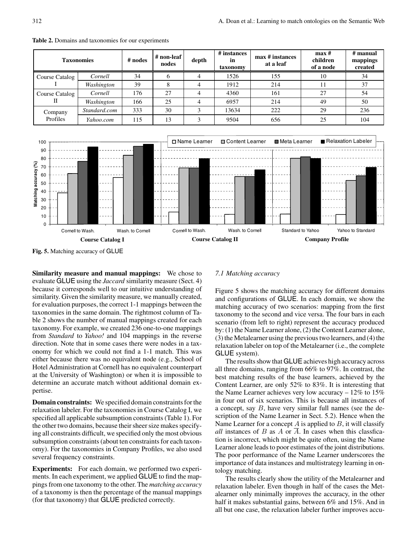| <b>Taxonomies</b>   |              | # nodes | # non-leaf  <br>nodes | depth | # instances<br>in<br>taxonomy | max # instances<br>at a leaf | max#<br>children<br>of a node | # manual<br>mappings<br>created |
|---------------------|--------------|---------|-----------------------|-------|-------------------------------|------------------------------|-------------------------------|---------------------------------|
| Course Catalog      | Cornell      | 34      |                       |       | 1526                          | 155                          | 10                            | 34                              |
|                     | Washington   | 39      |                       |       | 1912                          | 214                          |                               | 37                              |
| Course Catalog<br>П | Cornell      | 176     | 27                    | 4     | 4360                          | 161                          | 27                            | 54                              |
|                     | Washington   | 166     | 25                    | 4     | 6957                          | 214                          | 49                            | 50                              |
| Company<br>Profiles | Standard.com | 333     | 30                    |       | 13634                         | 222                          | 29                            | 236                             |
|                     | Yahoo.com    | 115     | 13                    |       | 9504                          | 656                          | 25                            | 104                             |

**Table 2.** Domains and taxonomies for our experiments



**Fig. 5.** Matching accuracy of GLUE

**Matching accuracy (%)**

Matching accuracy (%)

**Similarity measure and manual mappings:** We chose to evaluate GLUE using the *Jaccard* similarity measure (Sect. 4) because it corresponds well to our intuitive understanding of similarity. Given the similarity measure, we manually created, for evaluation purposes, the correct 1-1 mappings between the taxonomies in the same domain. The rightmost column of Table 2 shows the number of manual mappings created for each taxonomy. For example, we created 236 one-to-one mappings from *Standard* to *Yahoo!* and 104 mappings in the reverse direction. Note that in some cases there were nodes in a taxonomy for which we could not find a 1-1 match. This was either because there was no equivalent node (e.g., School of Hotel Administration at Cornell has no equivalent counterpart at the University of Washington) or when it is impossible to determine an accurate match without additional domain expertise.

**Domain constraints:** We specified domain constraints for the relaxation labeler. For the taxonomies in Course Catalog I, we specified all applicable subsumption constraints (Table 1). For the other two domains, because their sheer size makes specifying all constraints difficult, we specified only the most obvious subsumption constraints (about ten constraints for each taxonomy). For the taxonomies in Company Profiles, we also used several frequency constraints.

**Experiments:** For each domain, we performed two experiments. In each experiment, we applied GLUE to find the mappings from one taxonomy to the other. The *matching accuracy* of a taxonomy is then the percentage of the manual mappings (for that taxonomy) that GLUE predicted correctly.

## *7.1 Matching accuracy*

Figure 5 shows the matching accuracy for different domains and configurations of GLUE. In each domain, we show the matching accuracy of two scenarios: mapping from the first taxonomy to the second and vice versa. The four bars in each scenario (from left to right) represent the accuracy produced by: (1) the Name Learner alone, (2) the Content Learner alone, (3) the Metalearner using the previous two learners, and (4) the relaxation labeler on top of the Metalearner (i.e., the complete GLUE system).

The results show that GLUE achieves high accuracy across all three domains, ranging from 66% to 97%. In contrast, the best matching results of the base learners, achieved by the Content Learner, are only 52% to 83%. It is interesting that the Name Learner achieves very low accuracy – 12% to 15% in four out of six scenarios. This is because all instances of a concept, say  $B$ , have very similar full names (see the description of the Name Learner in Sect. 5.2). Hence when the Name Learner for a concept  $A$  is applied to  $B$ , it will classify *all* instances of B as A or  $\overline{A}$ . In cases when this classfication is incorrect, which might be quite often, using the Name Learner alone leads to poor estimates of the joint distributions. The poor performance of the Name Learner underscores the importance of data instances and multistrategy learning in ontology matching.

The results clearly show the utility of the Metalearner and relaxation labeler. Even though in half of the cases the Metalearner only minimally improves the accuracy, in the other half it makes substantial gains, between 6% and 15%. And in all but one case, the relaxation labeler further improves accu-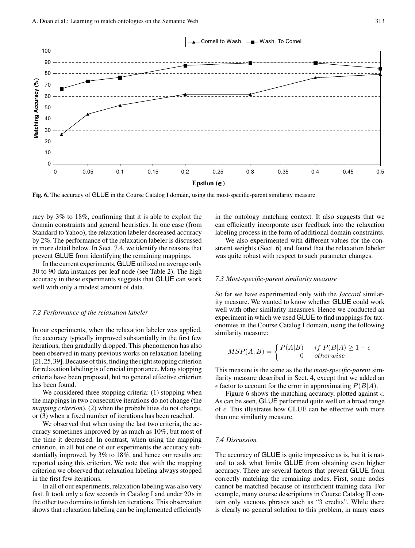

**Fig. 6.** The accuracy of GLUE in the Course Catalog I domain, using the most-specific-parent similarity measure

racy by 3% to 18%, confirming that it is able to exploit the domain constraints and general heuristics. In one case (from Standard to Yahoo), the relaxation labeler decreased accuracy by 2%. The performance of the relaxation labeler is discussed in more detail below. In Sect. 7.4, we identify the reasons that prevent GLUE from identifying the remaining mappings.

In the current experiments, GLUE utilized on average only 30 to 90 data instances per leaf node (see Table 2). The high accuracy in these experiments suggests that GLUE can work well with only a modest amount of data.

## *7.2 Performance of the relaxation labeler*

In our experiments, when the relaxation labeler was applied, the accuracy typically improved substantially in the first few iterations, then gradually dropped. This phenomenon has also been observed in many previous works on relaxation labeling [21,25,39]. Because of this, finding the right stopping criterion for relaxation labeling is of crucial importance. Many stopping criteria have been proposed, but no general effective criterion has been found.

We considered three stopping criteria: (1) stopping when the mappings in two consecutive iterations do not change (the *mapping criterion*), (2) when the probabilities do not change, or (3) when a fixed number of iterations has been reached.

We observed that when using the last two criteria, the accuracy sometimes improved by as much as 10%, but most of the time it decreased. In contrast, when using the mapping criterion, in all but one of our experiments the accuracy substantially improved, by 3% to 18%, and hence our results are reported using this criterion. We note that with the mapping criterion we observed that relaxation labeling always stopped in the first few iterations.

In all of our experiments, relaxation labeling was also very fast. It took only a few seconds in Catalog I and under 20 s in the other two domains to finish ten iterations. This observation shows that relaxation labeling can be implemented efficiently in the ontology matching context. It also suggests that we can efficiently incorporate user feedback into the relaxation labeling process in the form of additional domain constraints.

We also experimented with different values for the constraint weights (Sect. 6) and found that the relaxation labeler was quite robust with respect to such parameter changes.

### *7.3 Most-specific-parent similarity measure*

So far we have experimented only with the *Jaccard* similarity measure. We wanted to know whether GLUE could work well with other similarity measures. Hence we conducted an experiment in which we used GLUE to find mappings for taxonomies in the Course Catalog I domain, using the following similarity measure:

$$
MSP(A, B) = \begin{cases} P(A|B) & \text{if } P(B|A) \ge 1 - \epsilon \\ 0 & \text{otherwise} \end{cases}
$$

This measure is the same as the the *most-specific-parent* similarity measure described in Sect. 4, except that we added an  $\epsilon$  factor to account for the error in approximating  $P(B|A)$ .

Figure 6 shows the matching accuracy, plotted against  $\epsilon$ . As can be seen, GLUE performed quite well on a broad range of  $\epsilon$ . This illustrates how GLUE can be effective with more than one similarity measure.

## *7.4 Discussion*

The accuracy of GLUE is quite impressive as is, but it is natural to ask what limits GLUE from obtaining even higher accuracy. There are several factors that prevent GLUE from correctly matching the remaining nodes. First, some nodes cannot be matched because of insufficient training data. For example, many course descriptions in Course Catalog II contain only vacuous phrases such as "3 credits". While there is clearly no general solution to this problem, in many cases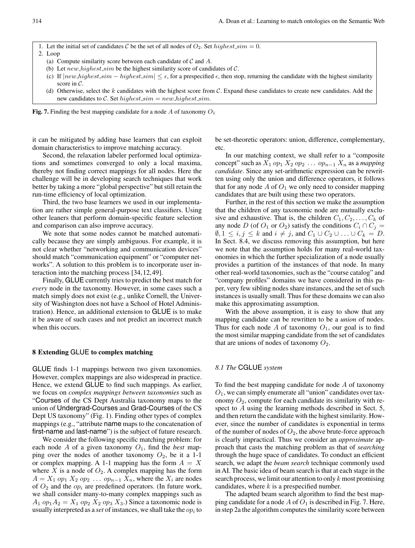- 1. Let the initial set of candidates C be the set of all nodes of  $O_2$ . Set *highest sim* = 0.
- 2. Loop
	- (a) Compute similarity score between each candidate of  $\mathcal C$  and  $A$ .
	- (b) Let  $new\_highest\_sim$  be the highest similarity score of candidates of C.
	- (c) If  $|new\text{-}highest\text{-}sim highest\text{-}sim| \leq \epsilon$ , for a prespecified  $\epsilon$ , then stop, returning the candidate with the highest similarity score in  $\mathcal{C}$ .
	- (d) Otherwise, select the k candidates with the highest score from  $C$ . Expand these candidates to create new candidates. Add the new candidates to C. Set highest sim  $= new\text{.higher}$  sim.

**Fig. 7.** Finding the best mapping candidate for a node  $A$  of taxonomy  $O_1$ 

it can be mitigated by adding base learners that can exploit domain characteristics to improve matching accuracy.

Second, the relaxation labeler performed local optimizations and sometimes converged to only a local maxima, thereby not finding correct mappings for all nodes. Here the challenge will be in developing search techniques that work better by taking a more "global perspective" but still retain the run-time efficiency of local optimization.

Third, the two base learners we used in our implementation are rather simple general-purpose text classifiers. Using other leaners that perform domain-specific feature selection and comparison can also improve accuracy.

We note that some nodes cannot be matched automatically because they are simply ambiguous. For example, it is not clear whether "networking and communication devices" should match "communication equipment" or "computer networks". A solution to this problem is to incorporate user interaction into the matching process [34,12,49].

Finally, GLUE currently tries to predict the best match for *every* node in the taxonomy. However, in some cases such a match simply does not exist (e.g., unlike Cornell, the University of Washington does not have a School of Hotel Administration). Hence, an additional extension to GLUE is to make it be aware of such cases and not predict an incorrect match when this occurs.

### **8 Extending** GLUE **to complex matching**

GLUE finds 1-1 mappings between two given taxonomies. However, complex mappings are also widespread in practice. Hence, we extend GLUE to find such mappings. As earlier, we focus on *complex mappings between taxonomies* such as "Courses of the CS Dept Australia taxonomy maps to the union of Undergrad-Courses and Grad-Courses of the CS Dept US taxonomy" (Fig. 1). Finding other types of complex mappings (e.g., "attribute name maps to the concatenation of first-name and last-name") is the subject of future research.

We consider the following specific matching problem: for each node  $A$  of a given taxonomy  $O_1$ , find the *best* mapping over the nodes of another taxonomy  $O_2$ , be it a 1-1 or complex mapping. A 1-1 mapping has the form  $A = X$ where X is a node of  $O_2$ . A complex mapping has the form  $A = X_1 op_1 X_2 op_2 \dots op_{n-1} X_n$ , where the  $X_i$  are nodes of  $O_2$  and the  $op_i$  are predefined operators. (In future work, we shall consider many-to-many complex mappings such as  $A_1$  op<sub>1</sub> $A_2 = X_1$  op<sub>2</sub>  $X_2$  op<sub>3</sub>  $X_3$ .) Since a taxonomic node is usually interpreted as a *set* of instances, we shall take the  $op<sub>i</sub>$  to be set-theoretic operators: union, difference, complementary, etc.

In our matching context, we shall refer to a "composite concept" such as  $X_1$  op<sub>1</sub>  $X_2$  op<sub>2</sub> ... op<sub>n−1</sub>  $X_n$  as a *mapping candidate*. Since any set-arithmetic expression can be rewritten using only the union and difference operators, it follows that for any node  $A$  of  $O_1$  we only need to consider mapping candidates that are built using these two operators.

Further, in the rest of this section we make the assumption that the children of any taxonomic node are mutually exclusive and exhaustive. That is, the children  $C_1, C_2, \ldots, C_k$  of any node D (of  $O_1$  or  $O_2$ ) satisfy the conditions  $C_i \cap C_j =$  $\emptyset, 1 \leq i, j \leq k$  and  $i \neq j$ , and  $C_1 \cup C_2 \cup \ldots \cup C_k = D$ . In Sect. 8.4, we discuss removing this assumption, but here we note that the assumption holds for many real-world taxonomies in which the further specialization of a node usually provides a partition of the instances of that node. In many other real-world taxonomies, such as the "course catalog" and "company profiles" domains we have considered in this paper, very few sibling nodes share instances, and the set of such instances is usually small. Thus for these domains we can also make this approximating assumption.

With the above assumption, it is easy to show that any mapping candidate can be rewritten to be a *union* of nodes. Thus for each node A of taxonomy  $O_1$ , our goal is to find the most similar mapping candidate from the set of candidates that are unions of nodes of taxonomy  $O_2$ .

# *8.1 The* CGLUE *system*

To find the best mapping candidate for node  $A$  of taxonomy  $O_1$ , we can simply enumerate all "union" candidates over taxonomy  $O_2$ , compute for each candidate its similarity with respect to A using the learning methods described in Sect. 5, and then return the candidate with the highest similarity. However, since the number of candidates is exponential in terms of the number of nodes of  $O_2$ , the above brute-force approach is clearly impractical. Thus we consider an *approximate* approach that casts the matching problem as that of *searching* through the huge space of candidates. To conduct an efficient search, we adapt the *beam search* technique commonly used in AI. The basic idea of beam search is that at each stage in the search process, we limit our attention to only  $k$  most promising candidates, where  $k$  is a prespecified number.

The adapted beam search algorithm to find the best mapping candidate for a node A of  $O_1$  is described in Fig. 7. Here, in step 2a the algorithm computes the similarity score between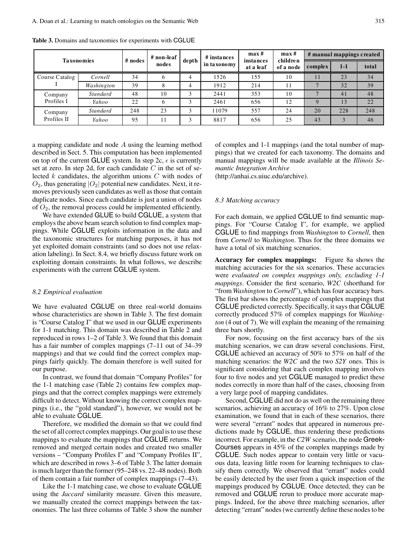| <b>Taxonomies</b>      |            | # nodes | $#$ non-leaf<br>nodes | depth                   | # instances<br>in taxonomy | max#<br>instances<br>at a leaf | $\max$ #<br>children<br>of a node | # manual mappings created |              |       |
|------------------------|------------|---------|-----------------------|-------------------------|----------------------------|--------------------------------|-----------------------------------|---------------------------|--------------|-------|
|                        |            |         |                       |                         |                            |                                |                                   | complex                   | $1-1$        | total |
| Course Catalog         | Cornell    | 34      |                       | 4                       | 1526                       | 155                            | 10                                |                           | 23           | 34    |
|                        | Washington | 39      |                       | 4                       | 1912                       | 214                            | 11                                |                           | 32           | 39    |
| Company<br>Profiles I  | Standard   | 48      | 10                    | 2                       | 2441                       | 353                            | 10                                |                           | 41           | 48    |
|                        | Yahoo      | 22      |                       |                         | 2461                       | 656                            | 12                                |                           | 13           | 22    |
| Company<br>Profiles II | Standard   | 248     | 23                    | 2                       | 1079                       | 557                            | 24                                | 20                        | 228          | 248   |
|                        | Yahoo      | 95      | 11                    | $\mathbf{\overline{3}}$ | 8817                       | 656                            | 25                                | 43                        | $\mathbf{a}$ | 46    |

**Table 3.** Domains and taxonomies for experiments with CGLUE

a mapping candidate and node A using the learning method described in Sect. 5. This computation has been implemented on top of the current GLUE system. In step  $2c$ ,  $\epsilon$  is currently set at zero. In step 2d, for each candidate  $C$  in the set of selected  $k$  candidates, the algorithm unions  $C$  with nodes of  $O_2$ , thus generating  $|O_2|$  potential new candidates. Next, it removes previously seen candidates as well as those that contain duplicate nodes. Since each candidate is just a union of nodes of  $O_2$ , the removal process could be implemented efficiently.

We have extended GLUE to build CGLUE, a system that employs the above beam search solution to find complex mappings. While CGLUE exploits information in the data and the taxonomic structures for matching purposes, it has not yet exploited domain constraints (and so does not use relaxation labeling). In Sect. 8.4, we briefly discuss future work on exploiting domain constraints. In what follows, we describe experiments with the current CGLUE system.

#### *8.2 Empirical evaluation*

We have evaluated CGLUE on three real-world domains whose characteristics are shown in Table 3. The first domain is "Course Catalog I" that we used in our GLUE experiments for 1-1 matching. This domain was described in Table 2 and reproduced in rows 1–2 of Table 3. We found that this domain has a fair number of complex mappings  $(7–11)$  out of 34–39 mappings) and that we could find the correct complex mappings fairly quickly. The domain therefore is well suited for our purpose.

In contrast, we found that domain "Company Profiles" for the 1-1 matching case (Table 2) contains few complex mappings and that the correct complex mappings were extremely difficult to detect. Without knowing the correct complex mappings (i.e., the "gold standard"), however, we would not be able to evaluate CGLUE.

Therefore, we modified the domain so that we could find the set of all correct complex mappings. Our goal is to use these mappings to evaluate the mappings that CGLUE returns. We removed and merged certain nodes and created two smaller versions – "Company Profiles I" and "Company Profiles II", which are described in rows 3–6 of Table 3. The latter domain is much larger than the former (95–248 vs. 22–48 nodes). Both of them contain a fair number of complex mappings (7–43).

Like the 1-1 matching case, we chose to evaluate CGLUE using the *Jaccard* similarity measure. Given this measure, we manually created the correct mappings between the taxonomies. The last three columns of Table 3 show the number of complex and 1-1 mappings (and the total number of mappings) that we created for each taxonomy. The domains and manual mappings will be made available at the *Illinois Semantic Integration Archive*

(http://anhai.cs.uiuc.edu/archive).

## *8.3 Matching accuracy*

For each domain, we applied CGLUE to find semantic mappings. For "Course Catalog I", for example, we applied CGLUE to find mappings from *Washington* to *Cornell*, then from *Cornell* to *Washington*. Thus for the three domains we have a total of six matching scenarios.

**Accuracy for complex mappings:** Figure 8a shows the matching accuracies for the six scenarios. These accuracies were *evaluated on complex mappings only, excluding 1-1 mappings*. Consider the first scenario, *W2C* (shorthand for "from *Washington* to *Cornell*"), which has four accuracy bars. The first bar shows the percentage of complex mappings that CGLUE predicted correctly. Specifically, it says that CGLUE correctly produced 57% of complex mappings for *Washington* (4 out of 7). We will explain the meaning of the remaining three bars shortly.

For now, focusing on the first accuracy bars of the six matching scenarios, we can draw several conclusions. First, CGLUE achieved an accuracy of 50% to 57% on half of the matching scenarios: the *W2C* and the two *S2Y* ones. This is significant considering that each complex mapping involves four to five nodes and yet CGLUE managed to predict these nodes correctly in more than half of the cases, choosing from a very large pool of mapping candidates.

Second, CGLUE did not do as well on the remaining three scenarios, achieving an accuracy of 16% to 27%. Upon close examination, we found that in each of these scenarios, there were several "errant" nodes that appeared in numerous predictions made by CGLUE, thus rendering these predictions incorrect. For example, in the *C2W* scenario, the node Greek-Courses appears in 45% of the complex mappings made by CGLUE. Such nodes appear to contain very little or vacuous data, leaving little room for learning techniques to classify them correctly. We observed that "errant" nodes could be easily detected by the user from a quick inspection of the mappings produced by CGLUE. Once detected, they can be removed and CGLUE rerun to produce more accurate mappings. Indeed, for the above three matching scenarios, after detecting "errant" nodes (we currently define these nodes to be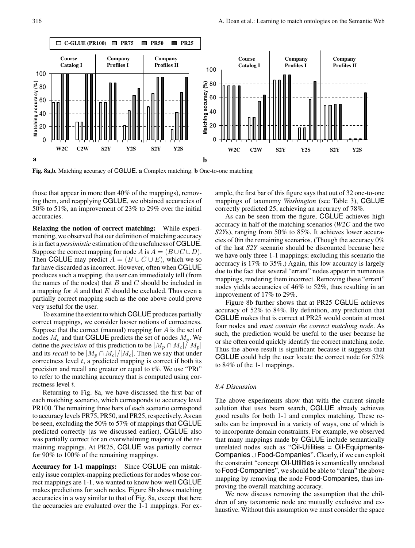

**Fig. 8a,b.** Matching accuracy of CGLUE. **a** Complex matching. **b** One-to-one matching

those that appear in more than 40% of the mappings), removing them, and reapplying CGLUE, we obtained accuracies of 50% to 51%, an improvement of 23% to 29% over the initial accuracies.

**Relaxing the notion of correct matching:** While experimenting, we observed that our definition of matching accuracy is in fact a *pessimistic* estimation of the usefulness of CGLUE. Suppose the correct mapping for node A is  $A = (B \cup C \cup D)$ . Then CGLUE may predict  $A = (B \cup C \cup E)$ , which we so far have discarded as incorrect. However, often when CGLUE produces such a mapping, the user can immediately tell (from the names of the nodes) that  $B$  and  $C$  should be included in a mapping for  $A$  and that  $E$  should be excluded. Thus even a partially correct mapping such as the one above could prove very useful for the user.

To examine the extent to which CGLUE produces partially correct mappings, we consider looser notions of correctness. Suppose that the correct (manual) mapping for  $A$  is the set of nodes  $M_c$  and that CGLUE predicts the set of nodes  $M_p$ . We define the *precision* of this prediction to be  $|M_p \cap M_c|/|M_p|$ and its *recall* to be  $|M_p \cap M_c|/|M_c|$ . Then we say that under correctness level  $t$ , a predicted mapping is correct if both its precision and recall are greater or equal to  $t\%$ . We use "PRt" to refer to the matching accuracy that is computed using correctness level t.

Returning to Fig. 8a, we have discussed the first bar of each matching scenario, which corresponds to accuracy level PR100. The remaining three bars of each scenario correspond to accuracy levels PR75, PR50, and PR25, respectively.As can be seen, excluding the 50% to 57% of mappings that CGLUE predicted correctly (as we discussed earlier), CGLUE also was partially correct for an overwhelming majority of the remaining mappings. At PR25, CGLUE was partially correct for 90% to 100% of the remaining mappings.

**Accuracy for 1-1 mappings:** Since CGLUE can mistakenly issue complex-mapping predictions for nodes whose correct mappings are 1-1, we wanted to know how well CGLUE makes predictions for such nodes. Figure 8b shows matching accuracies in a way similar to that of Fig. 8a, except that here the accuracies are evaluated over the 1-1 mappings. For example, the first bar of this figure says that out of 32 one-to-one mappings of taxonomy *Washington* (see Table 3), CGLUE correctly predicted 25, achieving an accuracy of 78%.

As can be seen from the figure, CGLUE achieves high accuracy in half of the matching scenarios (*W2C* and the two *S2Y*s), ranging from 50% to 85%. It achieves lower accuracies of 0in the remaining scenarios. (Though the accuracy 0% of the last *S2Y* scenario should be discounted because here we have only three 1-1 mappings; excluding this scenario the accuracy is 17% to 35%.) Again, this low accuracy is largely due to the fact that several "errant" nodes appear in numerous mappings, rendering them incorrect. Removing these "errant" nodes yields accuracies of 46% to 52%, thus resulting in an improvement of 17% to 29%.

Figure 8b further shows that at PR25 CGLUE achieves accuracy of 52% to 84%. By definition, any prediction that CGLUE makes that is correct at PR25 would contain at most four nodes and *must contain the correct matching node*. As such, the prediction would be useful to the user because he or she often could quickly identify the correct matching node. Thus the above result is significant because it suggests that CGLUE could help the user locate the correct node for 52% to 84% of the 1-1 mappings.

#### *8.4 Discussion*

The above experiments show that with the current simple solution that uses beam search, CGLUE already achieves good results for both 1-1 and complex matching. These results can be improved in a variety of ways, one of which is to incorporate domain constraints. For example, we observed that many mappings made by CGLUE include semantically unrelated nodes such as "Oil-Utilities = Oil-Equipments-Companies ∪ Food-Companies". Clearly, if we can exploit the constraint "concept Oil-Utilities is semantically unrelated to Food-Companies", we should be able to "clean" the above mapping by removing the node Food-Companies, thus improving the overall matching accuracy.

We now discuss removing the assumption that the children of any taxonomic node are mutually exclusive and exhaustive. Without this assumption we must consider the space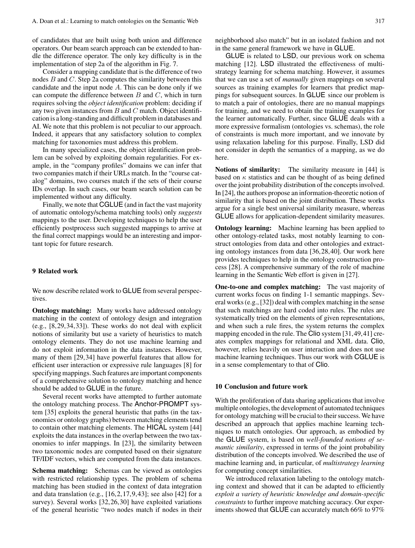of candidates that are built using both union and difference operators. Our beam search approach can be extended to handle the difference operator. The only key difficulty is in the implementation of step 2a of the algorithm in Fig. 7.

Consider a mapping candidate that is the difference of two nodes B and C. Step 2a computes the similarity between this candidate and the input node A. This can be done only if we can compute the difference between  $B$  and  $C$ , which in turn requires solving the *object identification* problem: deciding if any two given instances from  $B$  and  $C$  match. Object identification is a long-standing and difficult problem in databases and AI. We note that this problem is not peculiar to our approach. Indeed, it appears that any satisfactory solution to complex matching for taxonomies must address this problem.

In many specialized cases, the object identification problem can be solved by exploiting domain regularities. For example, in the "company profiles" domains we can infer that two companies match if their URLs match. In the "course catalog" domains, two courses match if the sets of their course IDs overlap. In such cases, our beam search solution can be implemented without any difficulty.

Finally, we note that CGLUE (and in fact the vast majority of automatic ontology/schema matching tools) only *suggests* mappings to the user. Developing techniques to help the user efficiently postprocess such suggested mappings to arrive at the final correct mappings would be an interesting and important topic for future research.

# **9 Related work**

We now describe related work to GLUE from several perspectives.

**Ontology matching:** Many works have addressed ontology matching in the context of ontology design and integration (e.g., [8,29,34,33]). These works do not deal with explicit notions of similarity but use a variety of heuristics to match ontology elements. They do not use machine learning and do not exploit information in the data instances. However, many of them [29,34] have powerful features that allow for efficient user interaction or expressive rule languages [8] for specifying mappings. Such features are important components of a comprehensive solution to ontology matching and hence should be added to GLUE in the future.

Several recent works have attempted to further automate the ontology matching process. The Anchor-PROMPT system [35] exploits the general heuristic that paths (in the taxonomies or ontology graphs) between matching elements tend to contain other matching elements. The HICAL system [44] exploits the data instances in the overlap between the two taxonomies to infer mappings. In [23], the similarity between two taxonomic nodes are computed based on their signature TF/IDF vectors, which are computed from the data instances.

**Schema matching:** Schemas can be viewed as ontologies with restricted relationship types. The problem of schema matching has been studied in the context of data integration and data translation (e.g., [16,2,17,9,43]; see also [42] for a survey). Several works [32,26,30] have exploited variations of the general heuristic "two nodes match if nodes in their neighborhood also match" but in an isolated fashion and not in the same general framework we have in GLUE.

GLUE is related to LSD, our previous work on schema matching [12]. LSD illustrated the effectiveness of multistrategy learning for schema matching. However, it assumes that we can use a set of *manually* given mappings on several sources as training examples for learners that predict mappings for subsequent sources. In GLUE since our problem is to match a pair of ontologies, there are no manual mappings for training, and we need to obtain the training examples for the learner automatically. Further, since GLUE deals with a more expressive formalism (ontologies vs. schemas), the role of constraints is much more important, and we innovate by using relaxation labeling for this purpose. Finally, LSD did not consider in depth the semantics of a mapping, as we do here.

**Notions of similarity:** The similarity measure in [44] is based on  $\kappa$  statistics and can be thought of as being defined over the joint probability distribution of the concepts involved. In [24], the authors propose an information-theoretic notion of similarity that is based on the joint distribution. These works argue for a single best universal similarity measure, whereas GLUE allows for application-dependent similarity measures.

**Ontology learning:** Machine learning has been applied to other ontology-related tasks, most notably learning to construct ontologies from data and other ontologies and extracting ontology instances from data [36,28,40]. Our work here provides techniques to help in the ontology construction process [28]. A comprehensive summary of the role of machine learning in the Semantic Web effort is given in [27].

**One-to-one and complex matching:** The vast majority of current works focus on finding 1-1 semantic mappings. Several works (e.g., [32]) deal with complex matching in the sense that such matchings are hard coded into rules. The rules are systematically tried on the elements of given representations, and when such a rule fires, the system returns the complex mapping encoded in the rule. The Clio system [31,49,41] creates complex mappings for relational and XML data. Clio, however, relies heavily on user interaction and does not use machine learning techniques. Thus our work with CGLUE is in a sense complementary to that of Clio.

### **10 Conclusion and future work**

With the proliferation of data sharing applications that involve multiple ontologies, the development of automated techniques for ontology matching will be crucial to their success. We have described an approach that applies machine learning techniques to match ontologies. Our approach, as embodied by the GLUE system, is based on *well-founded notions of semantic similarity*, expressed in terms of the joint probability distribution of the concepts involved. We described the use of machine learning and, in particular, of *multistrategy learning* for computing concept similarities.

We introduced relaxation labeling to the ontology matching context and showed that it can be adapted to efficiently *exploit a variety of heuristic knowledge and domain-specific constraints* to further improve matching accuracy. Our experiments showed that GLUE can accurately match 66% to 97%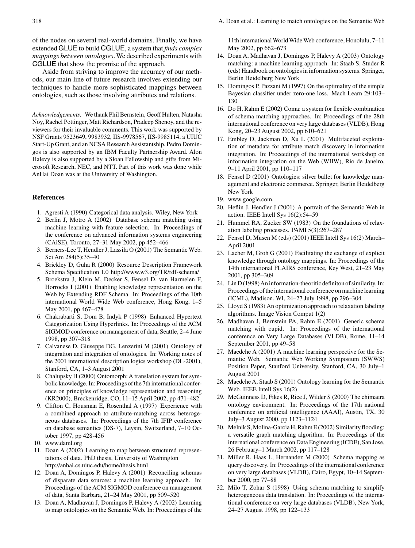of the nodes on several real-world domains. Finally, we have extended GLUE to build CGLUE, a system that *finds complex mappings between ontologies*. We described experiments with CGLUE that show the promise of the approach.

Aside from striving to improve the accuracy of our methods, our main line of future research involves extending our techniques to handle more sophisticated mappings between ontologies, such as those involving attributes and relations.

*Acknowledgements.* We thank Phil Bernstein, Geoff Hulten, Natasha Noy, Rachel Pottinger, Matt Richardson, Pradeep Shenoy, and the reviewers for their invaluable comments. This work was supported by NSF Grants 9523649, 9983932, IIS-9978567, IIS-9985114, a UIUC Start-Up Grant, and an NCSA Research Assistantship. Pedro Domingos is also supported by an IBM Faculty Partnership Award. Alon Halevy is also supported by a Sloan Fellowship and gifts from Microsoft Research, NEC, and NTT. Part of this work was done while AnHai Doan was at the University of Washington.

# **References**

- 1. Agresti A (1990) Categorical data analysis. Wiley, New York
- 2. Berlin J, Motro A (2002) Database schema matching using machine learning with feature selection. In: Proceedings of the conference on advanced information systems engineering (CAiSE), Toronto, 27–31 May 2002, pp 452–466
- 3. Berners-Lee T, Hendler J, Lassila O (2001) The Semantic Web. Sci Am 284(5):35–40
- 4. Brickley D, Guha R (2000) Resource Description Framework Schema Specification 1.0 http://www.w3.org/TR/rdf-schema/
- 5. Broekstra J, Klein M, Decker S, Fensel D, van Harmelen F, Horrocks I (2001) Enabling knowledge representation on the Web by Extending RDF Schema. In: Proceedings of the 10th international World Wide Web conference, Hong Kong, 1–5 May 2001, pp 467–478
- 6. Chakrabarti S, Dom B, Indyk P (1998) Enhanced Hypertext Categorization Using Hyperlinks. In: Proceedings of the ACM SIGMOD conference on management of data, Seattle, 2–4 June 1998, pp 307–318
- 7. Calvanese D, Giuseppe DG, Lenzerini M (2001) Ontology of integration and integration of ontologies. In: Working notes of the 2001 international description logics workshop (DL-2001), Stanford, CA, 1–3 August 2001
- 8. Chalupsky H (2000) Ontomorph: A translation system for symbolic knowledge. In: Proceedings of the 7th international conference on principles of knowledge representation and reasoning (KR2000), Breckenridge, CO, 11–15 April 2002, pp 471–482
- 9. Clifton C, Housman E, Rosenthal A (1997) Experience with a combined approach to attribute-matching across heterogeneous databases. In: Proceedings of the 7th IFIP conference on database semantics (DS-7), Leysin, Switzerland, 7–10 October 1997, pp 428-456
- 10. www.daml.org
- 11. Doan A (2002) Learning to map between structured representations of data. PhD thesis, University of Washington http://anhai.cs.uiuc.edu/home/thesis.html
- 12. Doan A, Domingos P, Halevy A (2001) Reconciling schemas of disparate data sources: a machine learning approach. In: Proceedings of the ACM SIGMOD conference on management of data, Santa Barbara, 21–24 May 2001, pp 509–520
- 13. Doan A, Madhavan J, Domingos P, Halevy A (2002) Learning to map ontologies on the Semantic Web. In: Proceedings of the

11th international World Wide Web conference, Honolulu, 7–11 May 2002, pp 662–673

- 14. Doan A, Madhavan J, Domingos P, Halevy A (2003) Ontology matching: a machine learning approach. In: Staab S, Studer R (eds) Handbook on ontologies in information systems. Springer, Berlin Heidelberg New York
- 15. Domingos P, Pazzani M (1997) On the optimality of the simple Bayesian classifier under zero-one loss. Mach Learn 29:103– 130
- 16. Do H, Rahm E (2002) Coma: a system for flexible combination of schema matching approaches. In: Proceedings of the 28th international conference on very large databases (VLDB), Hong Kong, 20–23 August 2002, pp 610–621
- 17. Embley D, Jackman D, Xu L (2001) Multifaceted exploitation of metadata for attribute match discovery in information integration. In: Proceedings of the international workshop on information integration on the Web (WIIW), Rio de Janeiro, 9–11 April 2001, pp 110–117
- 18. Fensel D (2001) Ontologies: silver bullet for knowledge management and electronic commerce. Springer, Berlin Heidelberg New York
- 19. www.google.com.
- 20. Heflin J, Hendler J (2001) A portrait of the Semantic Web in action. IEEE Intell Sys 16(2):54–59
- 21. Hummel RA, Zucker SW (1983) On the foundations of relaxation labeling processes. PAMI 5(3):267–287
- 22. Fensel D, Musen M (eds) (2001) IEEE Intell Sys 16(2) March– April 2001
- 23. Lacher M, Groh G (2001) Facilitating the exchange of explicit knowledge through ontology mappings. In: Proceedings of the 14th international FLAIRS conference, Key West, 21–23 May 2001, pp 305–309
- 24. Lin D (1998) An information-theoritic definiton of similarity. In: Proceedings of the international conference on machine learning (ICML), Madison, WI, 24–27 July 1998, pp 296–304
- 25. Lloyd S (1983) An optimization approach to relaxation labeling algorithms. Image Vision Comput 1(2)
- 26. Madhavan J, Bernstein PA, Rahm E (2001) Generic schema matching with cupid. In: Proceedings of the international conference on Very Large Databases (VLDB), Rome, 11–14 September 2001, pp 49–58
- 27. Maedche A (2001) A machine learning perspective for the Semantic Web. Semantic Web Working Symposium (SWWS) Position Paper, Stanford University, Stanford, CA, 30 July–1 August 2001
- 28. Maedche A, Staab S (2001) Ontology learning for the Semantic Web. IEEE Intell Sys 16(2)
- 29. McGuinness D, Fikes R, Rice J, Wilder S (2000) The chimaera ontology environment. In: Proceedings of the 17th national conference on artificial intelligence (AAAI), Austin, TX, 30 July–3 August 2000, pp 1123–1124
- 30. Melnik S, Molina-Garcia H, Rahm E (2002) Similarity flooding: a versatile graph matching algorithm. In: Proceedings of the international conference on Data Engineering (ICDE), San Jose, 26 February–1 March 2002, pp 117–128
- 31. Miller R, Haas L, Hernandez M (2000) Schema mapping as query discovery. In: Proceedings of the international conference on very large databases (VLDB), Cairo, Egypt, 10–14 September 2000, pp 77–88
- 32. Milo T, Zohar S (1998) Using schema matching to simplify heterogeneous data translation. In: Proceedings of the international conference on very large databases (VLDB), New York, 24–27 August 1998, pp 122–133